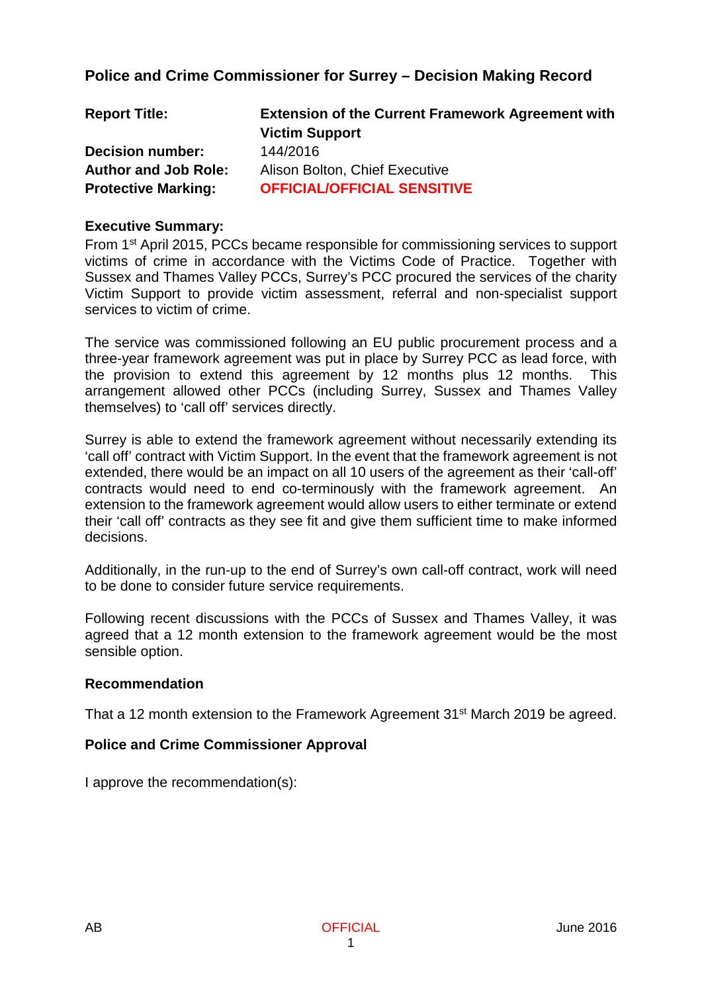## **Police and Crime Commissioner for Surrey – Decision Making Record**

| <b>Report Title:</b>        | <b>Extension of the Current Framework Agreement with</b> |
|-----------------------------|----------------------------------------------------------|
|                             | <b>Victim Support</b>                                    |
| <b>Decision number:</b>     | 144/2016                                                 |
| <b>Author and Job Role:</b> | Alison Bolton, Chief Executive                           |
| <b>Protective Marking:</b>  | <b>OFFICIAL/OFFICIAL SENSITIVE</b>                       |

### **Executive Summary:**

From 1st April 2015, PCCs became responsible for commissioning services to support victims of crime in accordance with the Victims Code of Practice. Together with Sussex and Thames Valley PCCs, Surrey's PCC procured the services of the charity Victim Support to provide victim assessment, referral and non-specialist support services to victim of crime.

The service was commissioned following an EU public procurement process and a three-year framework agreement was put in place by Surrey PCC as lead force, with the provision to extend this agreement by 12 months plus 12 months. This arrangement allowed other PCCs (including Surrey, Sussex and Thames Valley themselves) to 'call off' services directly.

Surrey is able to extend the framework agreement without necessarily extending its 'call off' contract with Victim Support. In the event that the framework agreement is not extended, there would be an impact on all 10 users of the agreement as their 'call-off' contracts would need to end co-terminously with the framework agreement. An extension to the framework agreement would allow users to either terminate or extend their 'call off' contracts as they see fit and give them sufficient time to make informed decisions.

Additionally, in the run-up to the end of Surrey's own call-off contract, work will need to be done to consider future service requirements.

Following recent discussions with the PCCs of Sussex and Thames Valley, it was agreed that a 12 month extension to the framework agreement would be the most sensible option.

### **Recommendation**

That a 12 month extension to the Framework Agreement 31<sup>st</sup> March 2019 be agreed.

### **Police and Crime Commissioner Approval**

I approve the recommendation(s):